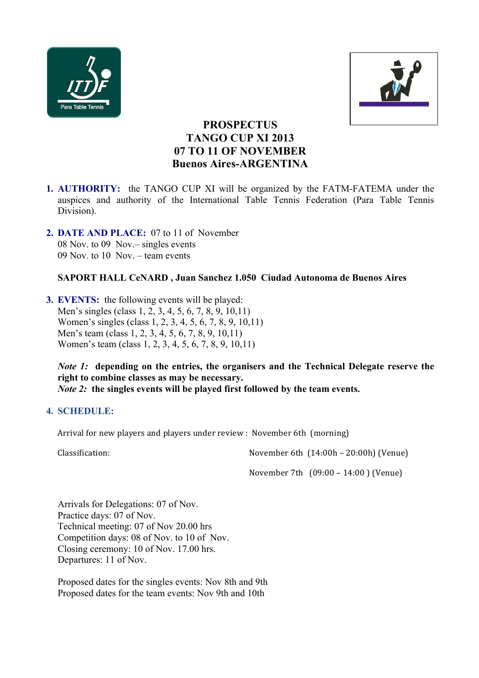



# **PROSPECTUS TANGO CUP XI 2013 07 TO 11 OF NOVEMBER Buenos Aires-ARGENTINA**

- **1. AUTHORITY:** the TANGO CUP XI will be organized by the FATM-FATEMA under the auspices and authority of the International Table Tennis Federation (Para Table Tennis Division).
- **2. DATE AND PLACE:** 07 to 11 of November 08 Nov. to 09 Nov.– singles events 09 Nov. to 10 Nov. – team events

## **SAPORT HALL CeNARD , Juan Sanchez 1.050 Ciudad Autonoma de Buenos Aires**

**3. EVENTS:** the following events will be played: Men's singles (class 1, 2, 3, 4, 5, 6, 7, 8, 9, 10,11) Women's singles (class 1, 2, 3, 4, 5, 6, 7, 8, 9, 10,11) Men's team (class 1, 2, 3, 4, 5, 6, 7, 8, 9, 10,11) Women's team (class 1, 2, 3, 4, 5, 6, 7, 8, 9, 10,11)

*Note 1:* **depending on the entries, the organisers and the Technical Delegate reserve the right to combine classes as may be necessary.** *Note 2:* **the singles events will be played first followed by the team events.**

#### **4. SCHEDULE:**

Arrival for new players and players under review : November 6th (morning)

 $\alpha$  Classification:  $\alpha$  November 6th  $(14:00h - 20:00h)$  (Venue)

November 7th  $(09:00 - 14:00)$  (Venue)

Arrivals for Delegations: 07 of Nov. Practice days: 07 of Nov. Technical meeting: 07 of Nov 20.00 hrs Competition days: 08 of Nov. to 10 of Nov. Closing ceremony: 10 of Nov. 17.00 hrs. Departures: 11 of Nov.

Proposed dates for the singles events: Nov 8th and 9th Proposed dates for the team events: Nov 9th and 10th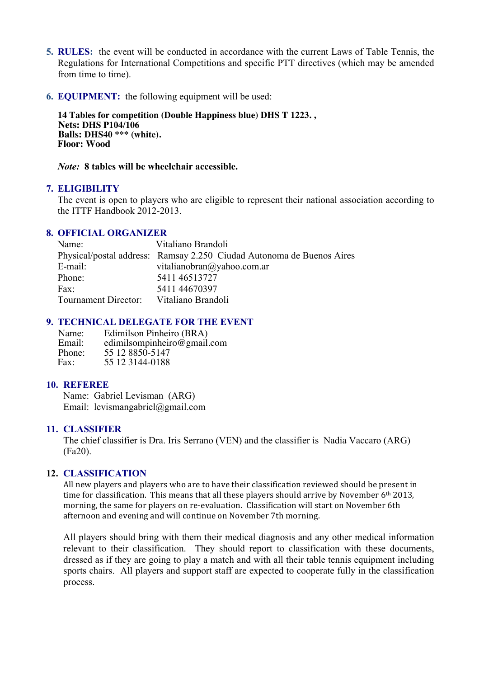- **5. RULES:** the event will be conducted in accordance with the current Laws of Table Tennis, the Regulations for International Competitions and specific PTT directives (which may be amended from time to time).
- **6. EQUIPMENT:** the following equipment will be used:

 **14 Tables for competition (Double Happiness blue) DHS T 1223. , Nets: DHS P104/106 Balls: DHS40 \*\*\* (white). Floor: Wood**

*Note:* **8 tables will be wheelchair accessible.**

#### **7. ELIGIBILITY**

The event is open to players who are eligible to represent their national association according to the ITTF Handbook 2012-2013.

#### **8. OFFICIAL ORGANIZER**

| Name:                | Vitaliano Brandoli                                                    |
|----------------------|-----------------------------------------------------------------------|
|                      | Physical/postal address: Ramsay 2.250 Ciudad Autonoma de Buenos Aires |
| E-mail:              | vitalianobran@yahoo.com.ar                                            |
| Phone:               | 5411 46513727                                                         |
| Fax:                 | 5411 44670397                                                         |
| Tournament Director: | Vitaliano Brandoli                                                    |

#### **9. TECHNICAL DELEGATE FOR THE EVENT**

Name: Edimilson Pinheiro (BRA)<br>Email: edimilsompinheiro@gmail. Email: edimilsompinheiro@gmail.com<br>Phone: 55 12 8850-5147 Phone: 55 12 8850-5147<br>Fax: 55 12 3144-0188 55 12 3144-0188

#### **10. REFEREE**

Name: Gabriel Levisman (ARG) Email: levismangabriel@gmail.com

#### **11. CLASSIFIER**

The chief classifier is Dra. Iris Serrano (VEN) and the classifier is Nadia Vaccaro (ARG) (Fa20).

#### **12. CLASSIFICATION**

All new players and players who are to have their classification reviewed should be present in time for classification. This means that all these players should arrive by November  $6<sup>th</sup> 2013$ . morning, the same for players on re-evaluation. Classification will start on November 6th afternoon and evening and will continue on November 7th morning.

All players should bring with them their medical diagnosis and any other medical information relevant to their classification. They should report to classification with these documents, dressed as if they are going to play a match and with all their table tennis equipment including sports chairs. All players and support staff are expected to cooperate fully in the classification process.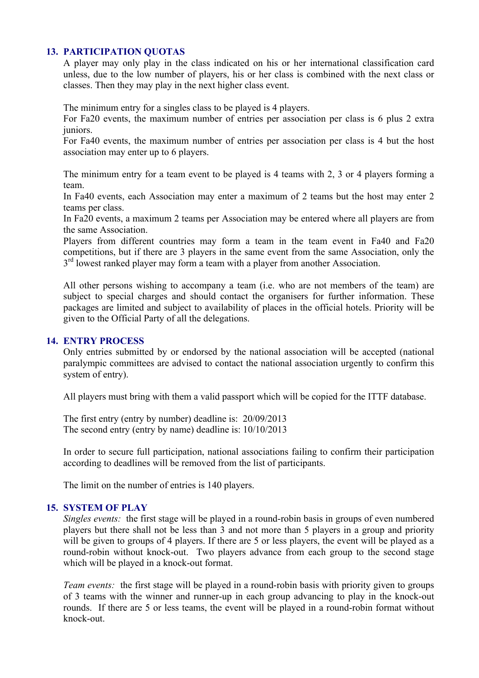#### **13. PARTICIPATION QUOTAS**

A player may only play in the class indicated on his or her international classification card unless, due to the low number of players, his or her class is combined with the next class or classes. Then they may play in the next higher class event.

The minimum entry for a singles class to be played is 4 players.

For Fa20 events, the maximum number of entries per association per class is 6 plus 2 extra juniors.

For Fa40 events, the maximum number of entries per association per class is 4 but the host association may enter up to 6 players.

The minimum entry for a team event to be played is 4 teams with 2, 3 or 4 players forming a team.

In Fa40 events, each Association may enter a maximum of 2 teams but the host may enter 2 teams per class.

In Fa20 events, a maximum 2 teams per Association may be entered where all players are from the same Association.

Players from different countries may form a team in the team event in Fa40 and Fa20 competitions, but if there are 3 players in the same event from the same Association, only the  $3<sup>rd</sup>$  lowest ranked player may form a team with a player from another Association.

All other persons wishing to accompany a team (i.e. who are not members of the team) are subject to special charges and should contact the organisers for further information. These packages are limited and subject to availability of places in the official hotels. Priority will be given to the Official Party of all the delegations.

#### **14. ENTRY PROCESS**

Only entries submitted by or endorsed by the national association will be accepted (national paralympic committees are advised to contact the national association urgently to confirm this system of entry).

All players must bring with them a valid passport which will be copied for the ITTF database.

The first entry (entry by number) deadline is: 20/09/2013 The second entry (entry by name) deadline is: 10/10/2013

In order to secure full participation, national associations failing to confirm their participation according to deadlines will be removed from the list of participants.

The limit on the number of entries is 140 players.

#### **15. SYSTEM OF PLAY**

*Singles events:* the first stage will be played in a round-robin basis in groups of even numbered players but there shall not be less than 3 and not more than 5 players in a group and priority will be given to groups of 4 players. If there are 5 or less players, the event will be played as a round-robin without knock-out. Two players advance from each group to the second stage which will be played in a knock-out format.

*Team events:* the first stage will be played in a round-robin basis with priority given to groups of 3 teams with the winner and runner-up in each group advancing to play in the knock-out rounds. If there are 5 or less teams, the event will be played in a round-robin format without knock-out.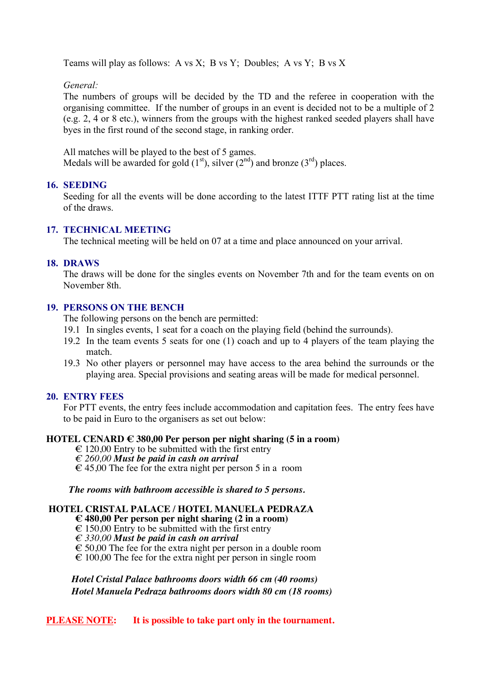Teams will play as follows: A vs X; B vs Y; Doubles; A vs Y; B vs X

*General:*

The numbers of groups will be decided by the TD and the referee in cooperation with the organising committee. If the number of groups in an event is decided not to be a multiple of 2 (e.g. 2, 4 or 8 etc.), winners from the groups with the highest ranked seeded players shall have byes in the first round of the second stage, in ranking order.

All matches will be played to the best of 5 games. Medals will be awarded for gold  $(1<sup>st</sup>)$ , silver  $(2<sup>nd</sup>)$  and bronze  $(3<sup>rd</sup>)$  places.

## **16. SEEDING**

Seeding for all the events will be done according to the latest ITTF PTT rating list at the time of the draws.

#### **17. TECHNICAL MEETING**

The technical meeting will be held on 07 at a time and place announced on your arrival.

#### **18. DRAWS**

The draws will be done for the singles events on November 7th and for the team events on on November 8th.

## **19. PERSONS ON THE BENCH**

The following persons on the bench are permitted:

- 19.1 In singles events, 1 seat for a coach on the playing field (behind the surrounds).
- 19.2 In the team events 5 seats for one (1) coach and up to 4 players of the team playing the match.
- 19.3 No other players or personnel may have access to the area behind the surrounds or the playing area. Special provisions and seating areas will be made for medical personnel.

#### **20. ENTRY FEES**

For PTT events, the entry fees include accommodation and capitation fees. The entry fees have to be paid in Euro to the organisers as set out below:

#### **HOTEL CENARD € 380,00 Per person per night sharing (5 in a room)**

- $\epsilon$  120,00 Entry to be submitted with the first entry
- *€ 260,00 Must be paid in cash on arrival*
- $\epsilon$  45,00 The fee for the extra night per person 5 in a room

*The rooms with bathroom accessible is shared to 5 persons.*

## **HOTEL CRISTAL PALACE / HOTEL MANUELA PEDRAZA**

- **€ 480,00 Per person per night sharing (2 in a room)**
- $\epsilon$  150,00 Entry to be submitted with the first entry
- *€ 330,00 Must be paid in cash on arrival*
- $\epsilon$  50,00 The fee for the extra night per person in a double room
- $\epsilon$  100,00 The fee for the extra night per person in single room

 *Hotel Cristal Palace bathrooms doors width 66 cm (40 rooms) Hotel Manuela Pedraza bathrooms doors width 80 cm (18 rooms)*

**PLEASE NOTE:** It is possible to take part only in the tournament.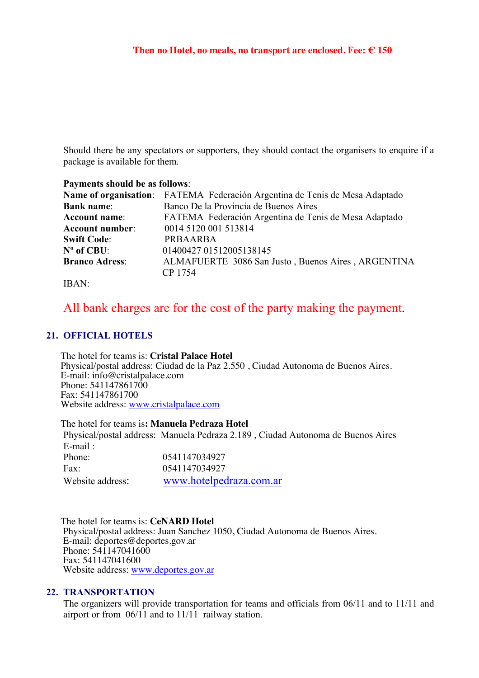Should there be any spectators or supporters, they should contact the organisers to enquire if a package is available for them.

#### **Payments should be as follows**:

|                        | Name of organisation: FATEMA Federación Argentina de Tenis de Mesa Adaptado |
|------------------------|-----------------------------------------------------------------------------|
| <b>Bank name:</b>      | Banco De la Provincia de Buenos Aires                                       |
| <b>Account name:</b>   | FATEMA Federación Argentina de Tenis de Mesa Adaptado                       |
| <b>Account number:</b> | 0014 5120 001 513814                                                        |
| <b>Swift Code:</b>     | PRBAARBA                                                                    |
| $N^{\circ}$ of CBU:    | 01400427 01512005138145                                                     |
| <b>Branco Adress:</b>  | ALMAFUERTE 3086 San Justo, Buenos Aires, ARGENTINA                          |
|                        | CP 1754                                                                     |

#### IBAN:

## All bank charges are for the cost of the party making the payment.

## **21. OFFICIAL HOTELS**

The hotel for teams is: Cristal Palace Hotel<br>
Physical/postal address: Ciudad de la Paz 2.550, Ciudad Autonoma de Buenos Aires.<br>
E-mail: info@cristalpalace.com<br>
Phone: 541147861700<br>
Fax: 541147861700<br>
Website address: www.

 The hotel for teams is**: Manuela Pedraza Hotel** Physical/postal address: Manuela Pedraza 2.189 , Ciudad Autonoma de Buenos Aires E-mail  $\cdot$ Phone: 0541147034927 Fax: 0541147034927 Website address: www.hotelpedraza.com.ar

 The hotel for teams is: **CeNARD Hotel** Physical/postal address: Juan Sanchez 1050, Ciudad Autonoma de Buenos Aires. E-mail: deportes@deportes.gov.ar Phone: 541147041600 Fax: 541147041600 Website address: www.deportes.gov.ar

#### **22. TRANSPORTATION**

The organizers will provide transportation for teams and officials from 06/11 and to 11/11 and airport or from 06/11 and to 11/11 railway station.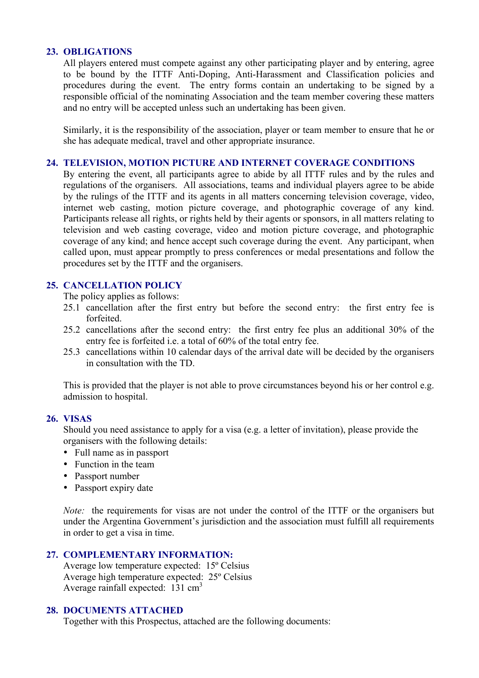#### **23. OBLIGATIONS**

All players entered must compete against any other participating player and by entering, agree to be bound by the ITTF Anti-Doping, Anti-Harassment and Classification policies and procedures during the event. The entry forms contain an undertaking to be signed by a responsible official of the nominating Association and the team member covering these matters and no entry will be accepted unless such an undertaking has been given.

Similarly, it is the responsibility of the association, player or team member to ensure that he or she has adequate medical, travel and other appropriate insurance.

#### **24. TELEVISION, MOTION PICTURE AND INTERNET COVERAGE CONDITIONS**

By entering the event, all participants agree to abide by all ITTF rules and by the rules and regulations of the organisers. All associations, teams and individual players agree to be abide by the rulings of the ITTF and its agents in all matters concerning television coverage, video, internet web casting, motion picture coverage, and photographic coverage of any kind. Participants release all rights, or rights held by their agents or sponsors, in all matters relating to television and web casting coverage, video and motion picture coverage, and photographic coverage of any kind; and hence accept such coverage during the event. Any participant, when called upon, must appear promptly to press conferences or medal presentations and follow the procedures set by the ITTF and the organisers.

## **25. CANCELLATION POLICY**

The policy applies as follows:

- 25.1 cancellation after the first entry but before the second entry: the first entry fee is forfeited.
- 25.2 cancellations after the second entry: the first entry fee plus an additional 30% of the entry fee is forfeited i.e. a total of 60% of the total entry fee.
- 25.3 cancellations within 10 calendar days of the arrival date will be decided by the organisers in consultation with the TD.

This is provided that the player is not able to prove circumstances beyond his or her control e.g. admission to hospital.

## **26. VISAS**

Should you need assistance to apply for a visa (e.g. a letter of invitation), please provide the organisers with the following details:

- Full name as in passport
- Function in the team
- Passport number
- Passport expiry date

*Note:* the requirements for visas are not under the control of the ITTF or the organisers but under the Argentina Government's jurisdiction and the association must fulfill all requirements in order to get a visa in time.

## **27. COMPLEMENTARY INFORMATION:**

Average low temperature expected: 15º Celsius Average high temperature expected: 25º Celsius Average rainfall expected: 131 cm3

## **28. DOCUMENTS ATTACHED**

Together with this Prospectus, attached are the following documents: